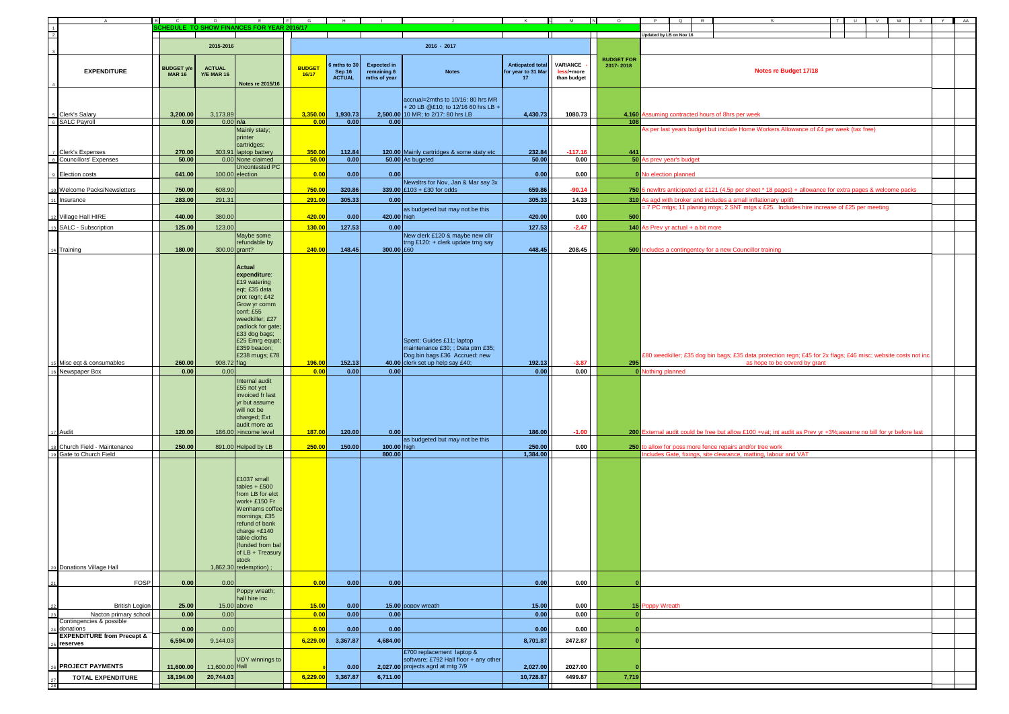| A                                                        | <b>B</b><br>C.                     | D <sub>1</sub>                     | F<br>E                                                                                                                                                                                                               | $\mathbf{G}$           | $\blacksquare$                        |                                                   |                                                                                                               |                                                     | M<br>N                                | $\circ$                        | $\circ$<br>R.                                                                                             | T                                                                                                                 | w I<br>$\cup$<br>VI. | $\mathbf{x}$ | Y | AA |
|----------------------------------------------------------|------------------------------------|------------------------------------|----------------------------------------------------------------------------------------------------------------------------------------------------------------------------------------------------------------------|------------------------|---------------------------------------|---------------------------------------------------|---------------------------------------------------------------------------------------------------------------|-----------------------------------------------------|---------------------------------------|--------------------------------|-----------------------------------------------------------------------------------------------------------|-------------------------------------------------------------------------------------------------------------------|----------------------|--------------|---|----|
| $\frac{1}{2}$                                            |                                    |                                    | CHEDULE TO SHOW FINANCES FOR YEAR 2016/17                                                                                                                                                                            |                        |                                       |                                                   |                                                                                                               |                                                     |                                       |                                | Updated by LB on Nov 16                                                                                   |                                                                                                                   |                      |              |   |    |
|                                                          |                                    | 2015-2016                          |                                                                                                                                                                                                                      |                        |                                       |                                                   | 2016 - 2017                                                                                                   |                                                     |                                       |                                |                                                                                                           |                                                                                                                   |                      |              |   |    |
|                                                          |                                    |                                    |                                                                                                                                                                                                                      |                        |                                       |                                                   |                                                                                                               |                                                     |                                       |                                |                                                                                                           |                                                                                                                   |                      |              |   |    |
| <b>EXPENDITURE</b>                                       | <b>BUDGET y/e</b><br><b>MAR 16</b> | <b>ACTUAL</b><br><b>Y/E MAR 16</b> | Notes re 2015/16                                                                                                                                                                                                     | <b>BUDGET</b><br>16/17 | mths to 30<br>Sep 16<br><b>ACTUAL</b> | <b>Expected in</b><br>remaining 6<br>mths of year | <b>Notes</b>                                                                                                  | <b>Anticpated total</b><br>for year to 31 Mar<br>17 | VARIANCE<br>less/+more<br>than budget | <b>BUDGET FOR</b><br>2017-2018 |                                                                                                           | Notes re Budget 17/18                                                                                             |                      |              |   |    |
| Clerk's Salary                                           | 3,200.00                           | 3,173.89                           |                                                                                                                                                                                                                      | 3,350.00               | 1,930.73                              |                                                   | accrual=2mths to 10/16: 80 hrs MR<br>+ 20 LB @£10; to 12/16 60 hrs LB +<br>2,500.00 10 MR; to 2/17: 80 hrs LB | 4,430.73                                            | 1080.73                               |                                | 4,160 Assuming contracted hours of 8hrs per week                                                          |                                                                                                                   |                      |              |   |    |
| <b>SALC Payroll</b>                                      | 0.00                               | $0.00$ n/a                         |                                                                                                                                                                                                                      | 0.00                   | 0.00                                  | 0.00                                              |                                                                                                               |                                                     |                                       | 108                            |                                                                                                           |                                                                                                                   |                      |              |   |    |
| Clerk's Expenses                                         | 270.00                             |                                    | Mainly staty;<br>printer<br>cartridges;<br>303.91 laptop battery                                                                                                                                                     | 350.00                 | 112.84                                |                                                   | 120.00 Mainly cartridges & some staty etc                                                                     | 232.84                                              | $-117.16$                             | 441                            |                                                                                                           | As per last years budget but include Home Workers Allowance of £4 per week (tax free)                             |                      |              |   |    |
| $\overline{\phantom{a}}$<br><b>Councillors' Expenses</b> | 50.00                              |                                    | 0.00 None claimed<br>Uncontested PC                                                                                                                                                                                  | 50.00                  | 0.00                                  |                                                   | 50.00 As bugeted                                                                                              | 50.00                                               | 0.00                                  |                                | 50 As prev year's budget                                                                                  |                                                                                                                   |                      |              |   |    |
| 9 Election costs                                         | 641.00                             |                                    | 100.00 election                                                                                                                                                                                                      | 0.00                   | 0.00                                  | 0.00                                              |                                                                                                               | 0.00                                                | 0.00                                  |                                | 0 No election planned                                                                                     |                                                                                                                   |                      |              |   |    |
| o Welcome Packs/Newsletters                              | 750.00                             | 608.90                             |                                                                                                                                                                                                                      | 750.00                 | 320.86                                |                                                   | Newsltrs for Nov, Jan & Mar say 3x<br>339.00 £103 + £30 for odds                                              | 659.86                                              | $-90.14$                              |                                | 750 6 newltrs anticipated at £121 (4.5p per sheet * 18 pages) + allowance for extra pages & welcome packs |                                                                                                                   |                      |              |   |    |
| 1 Insurance                                              | 283.00                             | 291.31                             |                                                                                                                                                                                                                      | 291.00                 | 305.33                                | 0.00                                              |                                                                                                               | 305.33                                              | 14.33                                 |                                |                                                                                                           | 310 As agd with broker and includes a small inflationary uplift                                                   |                      |              |   |    |
|                                                          |                                    |                                    |                                                                                                                                                                                                                      |                        |                                       |                                                   | as budgeted but may not be this                                                                               |                                                     |                                       |                                |                                                                                                           | = 7 PC mtgs; 11 planing mtgs; 2 SNT mtgs x £25. Includes hire increase of £25 per meeting                         |                      |              |   |    |
| 2 Village Hall HIRE                                      | 440.00                             | 380.00                             |                                                                                                                                                                                                                      | 420.00                 | 0.00                                  | 420.00 high                                       |                                                                                                               | 420.00                                              | 0.00                                  | 500                            |                                                                                                           |                                                                                                                   |                      |              |   |    |
| SALC - Subscription                                      | 125.00                             | 123.00                             |                                                                                                                                                                                                                      | 130.00                 | 127.53                                | 0.00                                              |                                                                                                               | 127.53                                              | $-2.47$                               |                                | 140 As Prev yr actual $+$ a bit more                                                                      |                                                                                                                   |                      |              |   |    |
|                                                          |                                    |                                    | Maybe some<br>refundable by                                                                                                                                                                                          |                        |                                       |                                                   | New clerk £120 & maybe new cllr<br>trng £120: + clerk update trng say                                         |                                                     |                                       |                                |                                                                                                           |                                                                                                                   |                      |              |   |    |
| 4 Training                                               | 180.00                             | 300.00 arant?                      |                                                                                                                                                                                                                      | 240.00                 | 148.45                                | 300.00 £60                                        |                                                                                                               | 448.45                                              | 208.45                                |                                | 500 Includes a contingentcy for a new Councillor training                                                 |                                                                                                                   |                      |              |   |    |
|                                                          |                                    |                                    | Actual<br>expenditure:<br>£19 watering<br>eqt; £35 data<br>prot regn; £42<br>Grow yr comm<br>conf; £55<br>weedkiller; £27<br>padlock for gate;<br>£33 dog bags;<br>£25 Emrg equpt;<br>£359 beacon;<br>£238 mugs; £78 |                        |                                       |                                                   | Spent: Guides £11; laptop<br>maintenance £30; ; Data ptrn £35;<br>Dog bin bags £36 Accrued: new               |                                                     |                                       |                                |                                                                                                           | £80 weedkiller; £35 dog bin bags; £35 data protection regn; £45 for 2x flags; £46 misc; website costs not inc     |                      |              |   |    |
| 5 Misc eqt & consumables<br>16 Newspaper Box             | 260.00<br>0.00                     | 908.72 flag<br>0.00                |                                                                                                                                                                                                                      | 196.00<br>0.00         | 152.13<br>$0.00\,$                    | 0.00                                              | 40.00 clerk set up help say £40;                                                                              | 192.13<br>0.00                                      | $-3.87$<br>0.00                       | 295                            | 0 Nothing planned                                                                                         | as hope to be coverd by grant                                                                                     |                      |              |   |    |
| 7 Audit                                                  | 120.00                             |                                    | Internal audit<br>£55 not yet<br>invoiced fr last<br>yr but assume<br>will not be<br>charged; Ext<br>audit more as<br>186.00 >income level                                                                           | 187.00                 | 120.00                                | 0.00                                              |                                                                                                               | 186.00                                              | $-1.00$                               |                                |                                                                                                           | 200 External audit could be free but allow £100 +vat; int audit as Prev yr +3%; assume no bill for yr before last |                      |              |   |    |
|                                                          |                                    |                                    |                                                                                                                                                                                                                      |                        |                                       |                                                   | as budgeted but may not be this                                                                               |                                                     |                                       |                                |                                                                                                           |                                                                                                                   |                      |              |   |    |
| Church Field - Maintenance<br>Gate to Church Field       | 250.00                             |                                    | 891.00 Helped by LB                                                                                                                                                                                                  | 250.00                 | 150.00                                | 100.00 high<br>800.00                             |                                                                                                               | 250.00<br>1.384.00                                  | 0.00                                  |                                | 250 to allow for poss more fence repairs and/or tree work                                                 | Includes Gate, fixings, site clearance, matting, labour and VAT                                                   |                      |              |   |    |
|                                                          |                                    |                                    | £1037 small<br>$tables + £500$<br>from LB for elct<br>work+ £150 Fr<br>Wenhams coffee<br>mornings; £35<br>refund of bank<br>charge +£140<br>table cloths<br>(funded from bal<br>of LB + Treasury<br>stock            |                        |                                       |                                                   |                                                                                                               |                                                     |                                       |                                |                                                                                                           |                                                                                                                   |                      |              |   |    |
| 20 Donations Village Hall                                |                                    |                                    | $1,862.30$ redemption)                                                                                                                                                                                               |                        |                                       |                                                   |                                                                                                               |                                                     |                                       |                                |                                                                                                           |                                                                                                                   |                      |              |   |    |
| FOSP                                                     | 0.00                               | 0.00                               |                                                                                                                                                                                                                      | 0.00                   | 0.00                                  | 0.00                                              |                                                                                                               | 0.00                                                | 0.00                                  |                                |                                                                                                           |                                                                                                                   |                      |              |   |    |
| <b>British Legion</b>                                    | 25.00                              |                                    | Poppy wreath;<br>hall hire inc<br>$15.00$ above                                                                                                                                                                      | 15.00                  | 0.00                                  |                                                   | 15.00 poppy wreath                                                                                            | 15.00                                               | 0.00                                  |                                | 15 Poppy Wreath                                                                                           |                                                                                                                   |                      |              |   |    |
| Nacton primary school<br>Contingencies & possible        | 0.00                               | 0.00                               |                                                                                                                                                                                                                      | 0.00                   | 0.00                                  | 0.00                                              |                                                                                                               | 0.00                                                | 0.00                                  |                                |                                                                                                           |                                                                                                                   |                      |              |   |    |
| 4 donations                                              | 0.00                               | 0.00                               |                                                                                                                                                                                                                      | 0.00                   | 0.00                                  | 0.00                                              |                                                                                                               | 0.00                                                | 0.00                                  |                                |                                                                                                           |                                                                                                                   |                      |              |   |    |
| <b>EXPENDITURE from Precept &amp;</b><br>reserves        | 6,594.00                           | 9,144.03                           |                                                                                                                                                                                                                      | 6,229.00               | 3,367.87                              | 4,684.00                                          | £700 replacement laptop &                                                                                     | 8,701.87                                            | 2472.87                               |                                |                                                                                                           |                                                                                                                   |                      |              |   |    |
| <b>PROJECT PAYMENTS</b>                                  | 11,600.00                          | 11,600.00 Hall                     | VOY winnings to                                                                                                                                                                                                      |                        | 0.00                                  |                                                   | software; £792 Hall floor + any other<br>2,027.00 projects agrd at mtg 7/9                                    | 2,027.00                                            | 2027.00                               |                                |                                                                                                           |                                                                                                                   |                      |              |   |    |
| <b>TOTAL EXPENDITURE</b><br>28                           | 18,194.00                          | 20,744.03                          |                                                                                                                                                                                                                      | 6,229.00               | 3,367.87                              | 6,711.00                                          |                                                                                                               | 10,728.87                                           | 4499.87                               | 7,719                          |                                                                                                           |                                                                                                                   |                      |              |   |    |